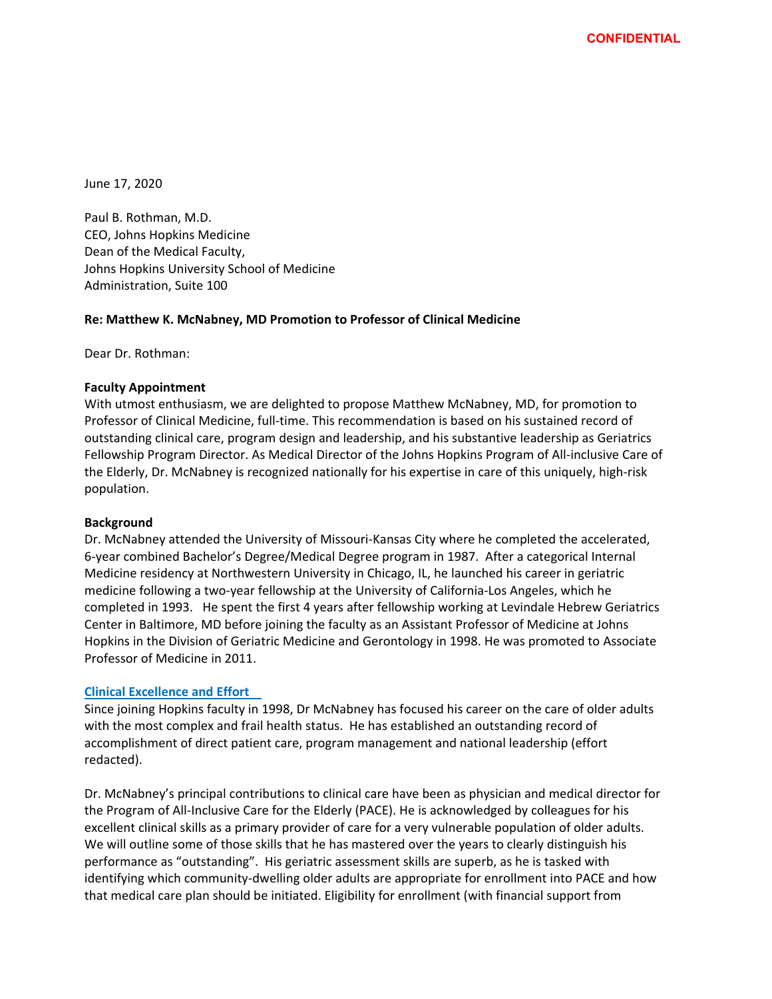June 17, 2020

Paul B. Rothman, M.D. CEO, Johns Hopkins Medicine Dean of the Medical Faculty, Johns Hopkins University School of Medicine Administration, Suite 100

# **Re: Matthew K. McNabney, MD Promotion to Professor of Clinical Medicine**

Dear Dr. Rothman:

## **Faculty Appointment**

With utmost enthusiasm, we are delighted to propose Matthew McNabney, MD, for promotion to Professor of Clinical Medicine, full‐time. This recommendation is based on his sustained record of outstanding clinical care, program design and leadership, and his substantive leadership as Geriatrics Fellowship Program Director. As Medical Director of the Johns Hopkins Program of All‐inclusive Care of the Elderly, Dr. McNabney is recognized nationally for his expertise in care of this uniquely, high‐risk population.

#### **Background**

Dr. McNabney attended the University of Missouri‐Kansas City where he completed the accelerated, 6‐year combined Bachelor's Degree/Medical Degree program in 1987. After a categorical Internal Medicine residency at Northwestern University in Chicago, IL, he launched his career in geriatric medicine following a two‐year fellowship at the University of California‐Los Angeles, which he completed in 1993. He spent the first 4 years after fellowship working at Levindale Hebrew Geriatrics Center in Baltimore, MD before joining the faculty as an Assistant Professor of Medicine at Johns Hopkins in the Division of Geriatric Medicine and Gerontology in 1998. He was promoted to Associate Professor of Medicine in 2011.

#### **Clinical Excellence and Effort**

Since joining Hopkins faculty in 1998, Dr McNabney has focused his career on the care of older adults with the most complex and frail health status. He has established an outstanding record of accomplishment of direct patient care, program management and national leadership (effort redacted).

Dr. McNabney's principal contributions to clinical care have been as physician and medical director for the Program of All-Inclusive Care for the Elderly (PACE). He is acknowledged by colleagues for his excellent clinical skills as a primary provider of care for a very vulnerable population of older adults. We will outline some of those skills that he has mastered over the years to clearly distinguish his performance as "outstanding". His geriatric assessment skills are superb, as he is tasked with identifying which community‐dwelling older adults are appropriate for enrollment into PACE and how that medical care plan should be initiated. Eligibility for enrollment (with financial support from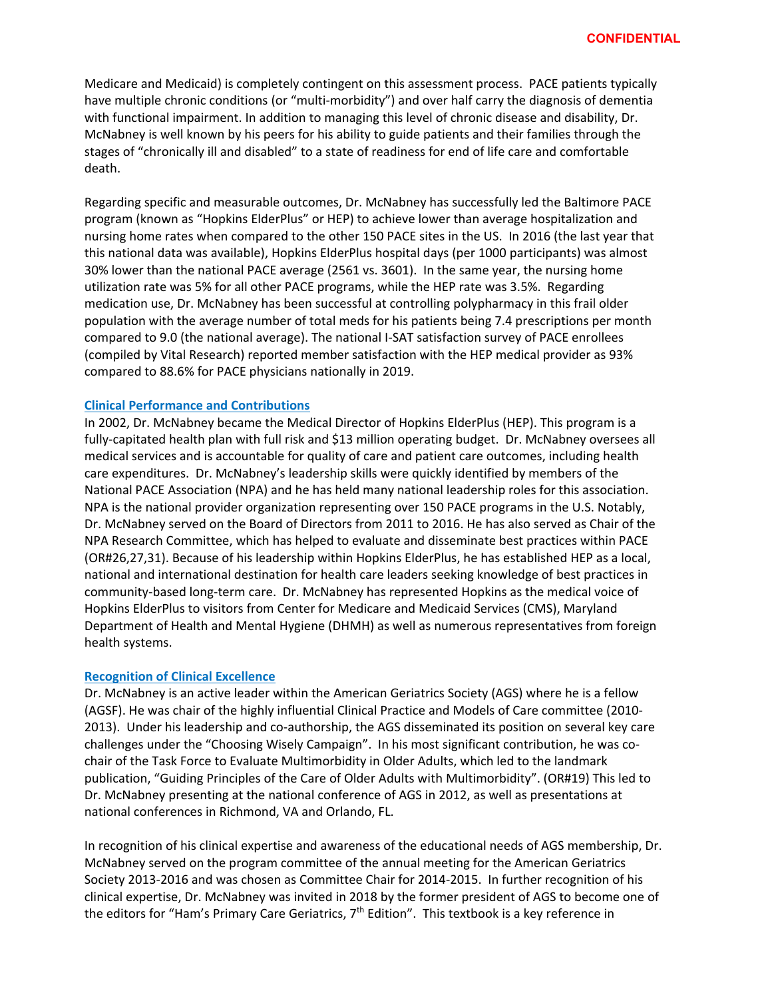Medicare and Medicaid) is completely contingent on this assessment process. PACE patients typically have multiple chronic conditions (or "multi-morbidity") and over half carry the diagnosis of dementia with functional impairment. In addition to managing this level of chronic disease and disability, Dr. McNabney is well known by his peers for his ability to guide patients and their families through the stages of "chronically ill and disabled" to a state of readiness for end of life care and comfortable death.

Regarding specific and measurable outcomes, Dr. McNabney has successfully led the Baltimore PACE program (known as "Hopkins ElderPlus" or HEP) to achieve lower than average hospitalization and nursing home rates when compared to the other 150 PACE sites in the US. In 2016 (the last year that this national data was available), Hopkins ElderPlus hospital days (per 1000 participants) was almost 30% lower than the national PACE average (2561 vs. 3601). In the same year, the nursing home utilization rate was 5% for all other PACE programs, while the HEP rate was 3.5%. Regarding medication use, Dr. McNabney has been successful at controlling polypharmacy in this frail older population with the average number of total meds for his patients being 7.4 prescriptions per month compared to 9.0 (the national average). The national I‐SAT satisfaction survey of PACE enrollees (compiled by Vital Research) reported member satisfaction with the HEP medical provider as 93% compared to 88.6% for PACE physicians nationally in 2019.

### **Clinical Performance and Contributions**

In 2002, Dr. McNabney became the Medical Director of Hopkins ElderPlus (HEP). This program is a fully‐capitated health plan with full risk and \$13 million operating budget. Dr. McNabney oversees all medical services and is accountable for quality of care and patient care outcomes, including health care expenditures. Dr. McNabney's leadership skills were quickly identified by members of the National PACE Association (NPA) and he has held many national leadership roles for this association. NPA is the national provider organization representing over 150 PACE programs in the U.S. Notably, Dr. McNabney served on the Board of Directors from 2011 to 2016. He has also served as Chair of the NPA Research Committee, which has helped to evaluate and disseminate best practices within PACE (OR#26,27,31). Because of his leadership within Hopkins ElderPlus, he has established HEP as a local, national and international destination for health care leaders seeking knowledge of best practices in community‐based long‐term care. Dr. McNabney has represented Hopkins as the medical voice of Hopkins ElderPlus to visitors from Center for Medicare and Medicaid Services (CMS), Maryland Department of Health and Mental Hygiene (DHMH) as well as numerous representatives from foreign health systems.

#### **Recognition of Clinical Excellence**

Dr. McNabney is an active leader within the American Geriatrics Society (AGS) where he is a fellow (AGSF). He was chair of the highly influential Clinical Practice and Models of Care committee (2010‐ 2013). Under his leadership and co‐authorship, the AGS disseminated its position on several key care challenges under the "Choosing Wisely Campaign". In his most significant contribution, he was co‐ chair of the Task Force to Evaluate Multimorbidity in Older Adults, which led to the landmark publication, "Guiding Principles of the Care of Older Adults with Multimorbidity". (OR#19) This led to Dr. McNabney presenting at the national conference of AGS in 2012, as well as presentations at national conferences in Richmond, VA and Orlando, FL.

In recognition of his clinical expertise and awareness of the educational needs of AGS membership, Dr. McNabney served on the program committee of the annual meeting for the American Geriatrics Society 2013‐2016 and was chosen as Committee Chair for 2014‐2015. In further recognition of his clinical expertise, Dr. McNabney was invited in 2018 by the former president of AGS to become one of the editors for "Ham's Primary Care Geriatrics, 7<sup>th</sup> Edition". This textbook is a key reference in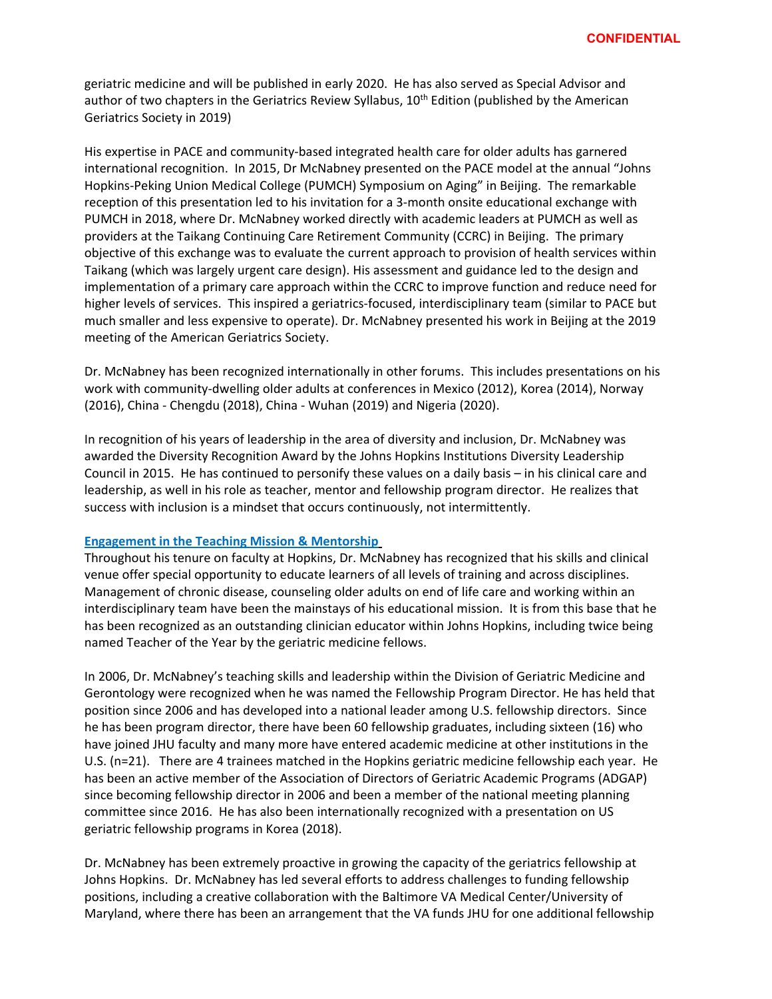geriatric medicine and will be published in early 2020. He has also served as Special Advisor and author of two chapters in the Geriatrics Review Syllabus,  $10^{th}$  Edition (published by the American Geriatrics Society in 2019)

His expertise in PACE and community‐based integrated health care for older adults has garnered international recognition. In 2015, Dr McNabney presented on the PACE model at the annual "Johns Hopkins‐Peking Union Medical College (PUMCH) Symposium on Aging" in Beijing. The remarkable reception of this presentation led to his invitation for a 3‐month onsite educational exchange with PUMCH in 2018, where Dr. McNabney worked directly with academic leaders at PUMCH as well as providers at the Taikang Continuing Care Retirement Community (CCRC) in Beijing. The primary objective of this exchange was to evaluate the current approach to provision of health services within Taikang (which was largely urgent care design). His assessment and guidance led to the design and implementation of a primary care approach within the CCRC to improve function and reduce need for higher levels of services. This inspired a geriatrics‐focused, interdisciplinary team (similar to PACE but much smaller and less expensive to operate). Dr. McNabney presented his work in Beijing at the 2019 meeting of the American Geriatrics Society.

Dr. McNabney has been recognized internationally in other forums. This includes presentations on his work with community‐dwelling older adults at conferences in Mexico (2012), Korea (2014), Norway (2016), China ‐ Chengdu (2018), China ‐ Wuhan (2019) and Nigeria (2020).

In recognition of his years of leadership in the area of diversity and inclusion, Dr. McNabney was awarded the Diversity Recognition Award by the Johns Hopkins Institutions Diversity Leadership Council in 2015. He has continued to personify these values on a daily basis – in his clinical care and leadership, as well in his role as teacher, mentor and fellowship program director. He realizes that success with inclusion is a mindset that occurs continuously, not intermittently.

## **Engagement in the Teaching Mission & Mentorship**

Throughout his tenure on faculty at Hopkins, Dr. McNabney has recognized that his skills and clinical venue offer special opportunity to educate learners of all levels of training and across disciplines. Management of chronic disease, counseling older adults on end of life care and working within an interdisciplinary team have been the mainstays of his educational mission. It is from this base that he has been recognized as an outstanding clinician educator within Johns Hopkins, including twice being named Teacher of the Year by the geriatric medicine fellows.

In 2006, Dr. McNabney's teaching skills and leadership within the Division of Geriatric Medicine and Gerontology were recognized when he was named the Fellowship Program Director. He has held that position since 2006 and has developed into a national leader among U.S. fellowship directors. Since he has been program director, there have been 60 fellowship graduates, including sixteen (16) who have joined JHU faculty and many more have entered academic medicine at other institutions in the U.S. (n=21). There are 4 trainees matched in the Hopkins geriatric medicine fellowship each year. He has been an active member of the Association of Directors of Geriatric Academic Programs (ADGAP) since becoming fellowship director in 2006 and been a member of the national meeting planning committee since 2016. He has also been internationally recognized with a presentation on US geriatric fellowship programs in Korea (2018).

Dr. McNabney has been extremely proactive in growing the capacity of the geriatrics fellowship at Johns Hopkins. Dr. McNabney has led several efforts to address challenges to funding fellowship positions, including a creative collaboration with the Baltimore VA Medical Center/University of Maryland, where there has been an arrangement that the VA funds JHU for one additional fellowship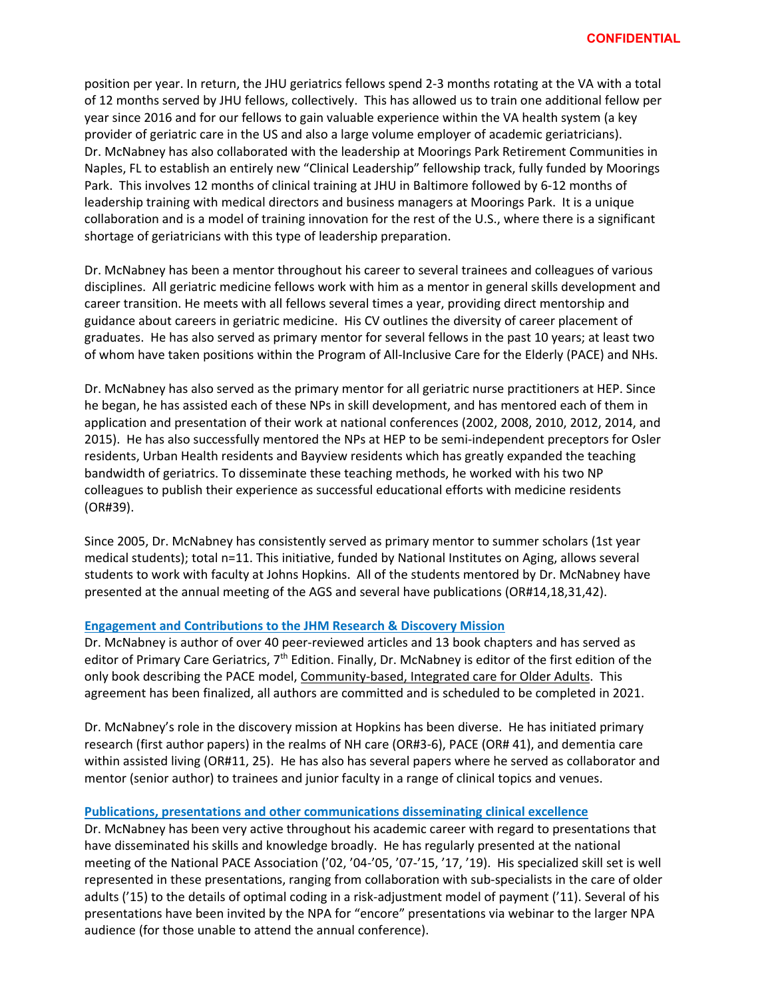position per year. In return, the JHU geriatrics fellows spend 2‐3 months rotating at the VA with a total of 12 months served by JHU fellows, collectively. This has allowed us to train one additional fellow per year since 2016 and for our fellows to gain valuable experience within the VA health system (a key provider of geriatric care in the US and also a large volume employer of academic geriatricians). Dr. McNabney has also collaborated with the leadership at Moorings Park Retirement Communities in Naples, FL to establish an entirely new "Clinical Leadership" fellowship track, fully funded by Moorings Park. This involves 12 months of clinical training at JHU in Baltimore followed by 6‐12 months of leadership training with medical directors and business managers at Moorings Park. It is a unique collaboration and is a model of training innovation for the rest of the U.S., where there is a significant shortage of geriatricians with this type of leadership preparation.

Dr. McNabney has been a mentor throughout his career to several trainees and colleagues of various disciplines. All geriatric medicine fellows work with him as a mentor in general skills development and career transition. He meets with all fellows several times a year, providing direct mentorship and guidance about careers in geriatric medicine. His CV outlines the diversity of career placement of graduates. He has also served as primary mentor for several fellows in the past 10 years; at least two of whom have taken positions within the Program of All‐Inclusive Care for the Elderly (PACE) and NHs.

Dr. McNabney has also served as the primary mentor for all geriatric nurse practitioners at HEP. Since he began, he has assisted each of these NPs in skill development, and has mentored each of them in application and presentation of their work at national conferences (2002, 2008, 2010, 2012, 2014, and 2015). He has also successfully mentored the NPs at HEP to be semi-independent preceptors for Osler residents, Urban Health residents and Bayview residents which has greatly expanded the teaching bandwidth of geriatrics. To disseminate these teaching methods, he worked with his two NP colleagues to publish their experience as successful educational efforts with medicine residents (OR#39).

Since 2005, Dr. McNabney has consistently served as primary mentor to summer scholars (1st year medical students); total n=11. This initiative, funded by National Institutes on Aging, allows several students to work with faculty at Johns Hopkins. All of the students mentored by Dr. McNabney have presented at the annual meeting of the AGS and several have publications (OR#14,18,31,42).

# **Engagement and Contributions to the JHM Research & Discovery Mission**

Dr. McNabney is author of over 40 peer‐reviewed articles and 13 book chapters and has served as editor of Primary Care Geriatrics, 7<sup>th</sup> Edition. Finally, Dr. McNabney is editor of the first edition of the only book describing the PACE model, Community‐based, Integrated care for Older Adults. This agreement has been finalized, all authors are committed and is scheduled to be completed in 2021.

Dr. McNabney's role in the discovery mission at Hopkins has been diverse. He has initiated primary research (first author papers) in the realms of NH care (OR#3‐6), PACE (OR# 41), and dementia care within assisted living (OR#11, 25). He has also has several papers where he served as collaborator and mentor (senior author) to trainees and junior faculty in a range of clinical topics and venues.

# **Publications, presentations and other communications disseminating clinical excellence**

Dr. McNabney has been very active throughout his academic career with regard to presentations that have disseminated his skills and knowledge broadly. He has regularly presented at the national meeting of the National PACE Association ('02, '04‐'05, '07‐'15, '17, '19). His specialized skill set is well represented in these presentations, ranging from collaboration with sub‐specialists in the care of older adults ('15) to the details of optimal coding in a risk‐adjustment model of payment ('11). Several of his presentations have been invited by the NPA for "encore" presentations via webinar to the larger NPA audience (for those unable to attend the annual conference).